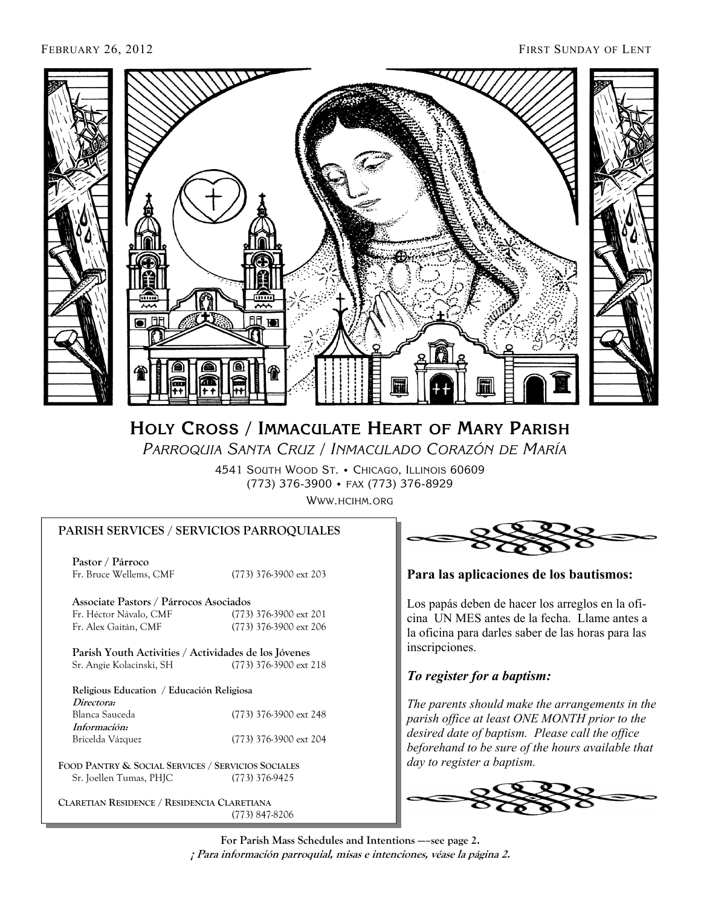

# **HOLY CROSS / IMMACULATE HEART OF MARY PARISH**

 *PARROQUIA SANTA CRUZ* / *INMACULADO CORAZÓN DE MARÍA* 

4541 SOUTH WOOD ST. • CHICAGO, ILLINOIS 60609 (773) 376-3900 FAX (773) 376-8929

WWW.HCIHM.ORG

#### **PARISH SERVICES / SERVICIOS PARROQUIALES**

 **Pastor / Párroco**  Fr. Bruce Wellems, CMF (773) 376-3900 ext 203

 **Associate Pastors / Párrocos Asociados**  Fr. Héctor Návalo, CMF (773) 376-3900 ext 201 Fr. Alex Gaitán, CMF (773) 376-3900 ext 206

 **Parish Youth Activities / Actividades de los Jóvenes**  Sr. Angie Kolacinski, SH (773) 376-3900 ext 218

|            | Religious Education / Educación Religiosa |
|------------|-------------------------------------------|
| Directors: |                                           |

| (773) 376-3900 ext 248 |
|------------------------|
|                        |
| (773) 376-3900 ext 204 |
|                        |

**FOOD PANTRY & SOCIAL SERVICES / SERVICIOS SOCIALES** Sr. Joellen Tumas, PHJC (773) 376-9425

**CLARETIAN RESIDENCE / RESIDENCIA CLARETIANA** (773) 847-8206

![](_page_0_Picture_16.jpeg)

**Para las aplicaciones de los bautismos:** 

Los papás deben de hacer los arreglos en la oficina UN MES antes de la fecha. Llame antes a la oficina para darles saber de las horas para las inscripciones.

## *To register for a baptism:*

*The parents should make the arrangements in the parish office at least ONE MONTH prior to the desired date of baptism. Please call the office beforehand to be sure of the hours available that day to register a baptism.* 

![](_page_0_Picture_21.jpeg)

**For Parish Mass Schedules and Intentions —–see page 2. ¡ Para información parroquial, misas e intenciones, véase la página 2.**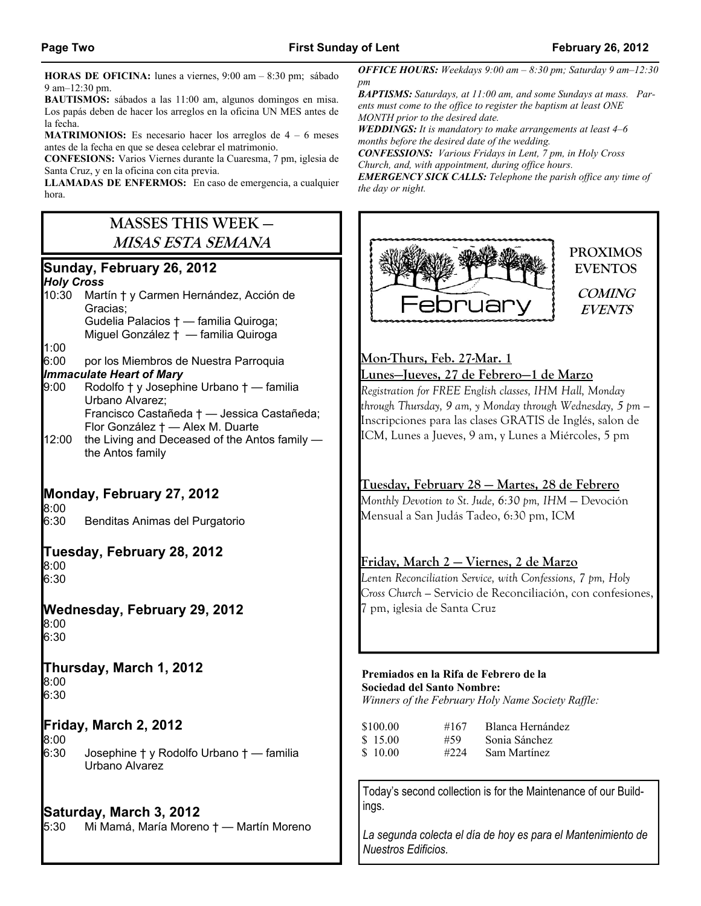**HORAS DE OFICINA:** lunes a viernes, 9:00 am *–* 8:30 pm; sábado 9 am*–*12:30 pm.

**BAUTISMOS:** sábados a las 11:00 am, algunos domingos en misa. Los papás deben de hacer los arreglos en la oficina UN MES antes de la fecha.

**MATRIMONIOS:** Es necesario hacer los arreglos de 4 – 6 meses antes de la fecha en que se desea celebrar el matrimonio.

**CONFESIONS:** Varios Viernes durante la Cuaresma, 7 pm, iglesia de Santa Cruz, y en la oficina con cita previa.

**LLAMADAS DE ENFERMOS:** En caso de emergencia, a cualquier hora.

# **MASSES THIS WEEK — MISAS ESTA SEMANA**

# **Sunday, February 26, 2012**

#### *Holy Cross*

- 10:30 Martín † y Carmen Hernández, Acción de Gracias; Gudelia Palacios † — familia Quiroga; Miguel González † — familia Quiroga
- 1:00
- 6:00 por los Miembros de Nuestra Parroquia

#### *Immaculate Heart of Mary*

- 9:00 Rodolfo † y Josephine Urbano † familia Urbano Alvarez; Francisco Castañeda † — Jessica Castañeda; Flor González † — Alex M. Duarte
- 12:00 the Living and Deceased of the Antos family the Antos family

# **Monday, February 27, 2012**

8:00

6:30 Benditas Animas del Purgatorio

#### **Tuesday, February 28, 2012**  8:00

6:30

## **Wednesday, February 29, 2012**

8:00 6:30

#### **Thursday, March 1, 2012** 8:00

6:30

## **Friday, March 2, 2012**

8:00

6:30 Josephine † y Rodolfo Urbano † — familia Urbano Alvarez

## **Saturday, March 3, 2012**

5:30 Mi Mamá, María Moreno † — Martín Moreno

*OFFICE HOURS: Weekdays 9:00 am – 8:30 pm; Saturday 9 am–12:30 pm* 

*BAPTISMS: Saturdays, at 11:00 am, and some Sundays at mass. Parents must come to the office to register the baptism at least ONE MONTH prior to the desired date.* 

*WEDDINGS: It is mandatory to make arrangements at least 4–6 months before the desired date of the wedding.* 

*CONFESSIONS: Various Fridays in Lent, 7 pm, in Holy Cross Church, and, with appointment, during office hours.* 

*EMERGENCY SICK CALLS: Telephone the parish office any time of the day or night.* 

![](_page_1_Picture_36.jpeg)

#### **Mon-Thurs, Feb. 27-Mar. 1**

#### **Lunes—Jueves, 27 de Febrero—1 de Marzo**

*Registration for FREE English classes, IHM Hall, Monday through Thursday, 9 am, y Monday through Wednesday, 5 pm —*  Inscripciones para las clases GRATIS de Inglés, salon de ICM, Lunes a Jueves, 9 am, y Lunes a Miércoles, 5 pm

## **Tuesday, February 28 — Martes, 28 de Febrero**

*Monthly Devotion to St. Jude, 6:30 pm, IHM* — Devoción Mensual a San Judás Tadeo, 6:30 pm, ICM

## **Friday, March 2 — Viernes, 2 de Marzo**

*Lenten Reconciliation Service, with Confessions, 7 pm, Holy Cross Church —* Servicio de Reconciliación, con confesiones, 7 pm, iglesia de Santa Cruz

#### **Premiados en la Rifa de Febrero de la Sociedad del Santo Nombre:**

*Winners of the February Holy Name Society Raffle:* 

| \$100.00 | #167  | Blanca Hernández |
|----------|-------|------------------|
| \$15.00  | #59   | Sonia Sánchez    |
| \$10.00  | #2.24 | Sam Martínez     |

Today's second collection is for the Maintenance of our Buildings.

*La segunda colecta el día de hoy es para el Mantenimiento de Nuestros Edificios.*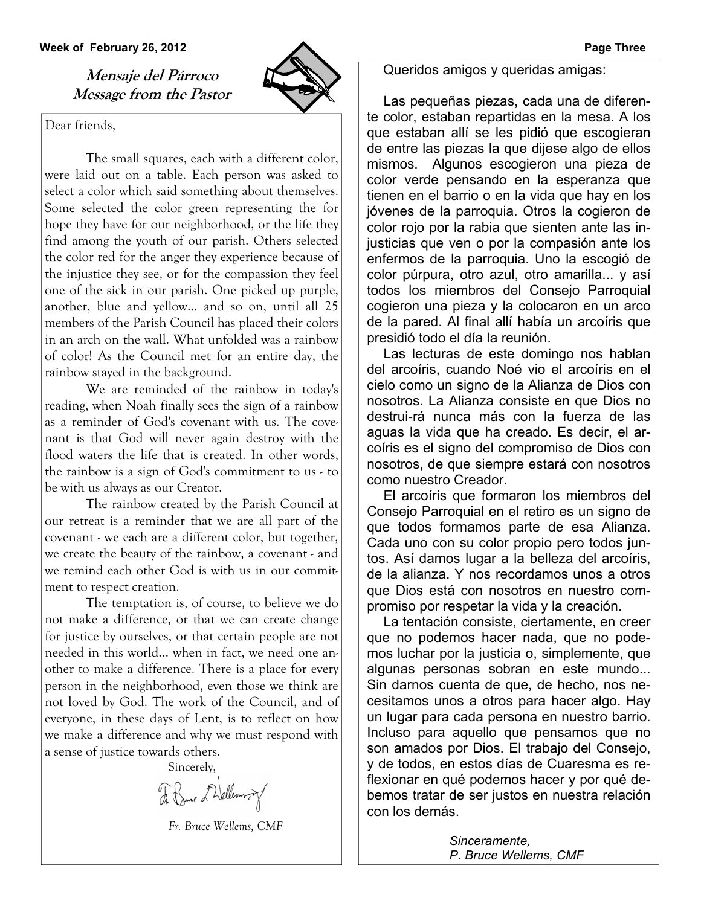#### **Week of February 26, 2012 Page Three**

**Mensaje del Párroco Message from the Pastor** 

Dear friends,

 The small squares, each with a different color, were laid out on a table. Each person was asked to select a color which said something about themselves. Some selected the color green representing the for hope they have for our neighborhood, or the life they find among the youth of our parish. Others selected the color red for the anger they experience because of the injustice they see, or for the compassion they feel one of the sick in our parish. One picked up purple, another, blue and yellow... and so on, until all 25 members of the Parish Council has placed their colors in an arch on the wall. What unfolded was a rainbow of color! As the Council met for an entire day, the rainbow stayed in the background.

 We are reminded of the rainbow in today's reading, when Noah finally sees the sign of a rainbow as a reminder of God's covenant with us. The covenant is that God will never again destroy with the flood waters the life that is created. In other words, the rainbow is a sign of God's commitment to us - to be with us always as our Creator.

 The rainbow created by the Parish Council at our retreat is a reminder that we are all part of the covenant - we each are a different color, but together, we create the beauty of the rainbow, a covenant - and we remind each other God is with us in our commitment to respect creation.

 The temptation is, of course, to believe we do not make a difference, or that we can create change for justice by ourselves, or that certain people are not needed in this world... when in fact, we need one another to make a difference. There is a place for every person in the neighborhood, even those we think are not loved by God. The work of the Council, and of everyone, in these days of Lent, is to reflect on how we make a difference and why we must respond with a sense of justice towards others.

Sincerely,

F. Bue Dellemory

 *Fr. Bruce Wellems, CMF*

Queridos amigos y queridas amigas:

Las pequeñas piezas, cada una de diferente color, estaban repartidas en la mesa. A los que estaban allí se les pidió que escogieran de entre las piezas la que dijese algo de ellos mismos. Algunos escogieron una pieza de color verde pensando en la esperanza que tienen en el barrio o en la vida que hay en los jóvenes de la parroquia. Otros la cogieron de color rojo por la rabia que sienten ante las injusticias que ven o por la compasión ante los enfermos de la parroquia. Uno la escogió de color púrpura, otro azul, otro amarilla... y así todos los miembros del Consejo Parroquial cogieron una pieza y la colocaron en un arco de la pared. Al final allí había un arcoíris que presidió todo el día la reunión.

Las lecturas de este domingo nos hablan del arcoíris, cuando Noé vio el arcoíris en el cielo como un signo de la Alianza de Dios con nosotros. La Alianza consiste en que Dios no destrui-rá nunca más con la fuerza de las aguas la vida que ha creado. Es decir, el arcoíris es el signo del compromiso de Dios con nosotros, de que siempre estará con nosotros como nuestro Creador.

El arcoíris que formaron los miembros del Consejo Parroquial en el retiro es un signo de que todos formamos parte de esa Alianza. Cada uno con su color propio pero todos juntos. Así damos lugar a la belleza del arcoíris, de la alianza. Y nos recordamos unos a otros que Dios está con nosotros en nuestro compromiso por respetar la vida y la creación.

La tentación consiste, ciertamente, en creer que no podemos hacer nada, que no podemos luchar por la justicia o, simplemente, que algunas personas sobran en este mundo... Sin darnos cuenta de que, de hecho, nos necesitamos unos a otros para hacer algo. Hay un lugar para cada persona en nuestro barrio. Incluso para aquello que pensamos que no son amados por Dios. El trabajo del Consejo, y de todos, en estos días de Cuaresma es reflexionar en qué podemos hacer y por qué debemos tratar de ser justos en nuestra relación con los demás.

> *Sinceramente, P. Bruce Wellems, CMF*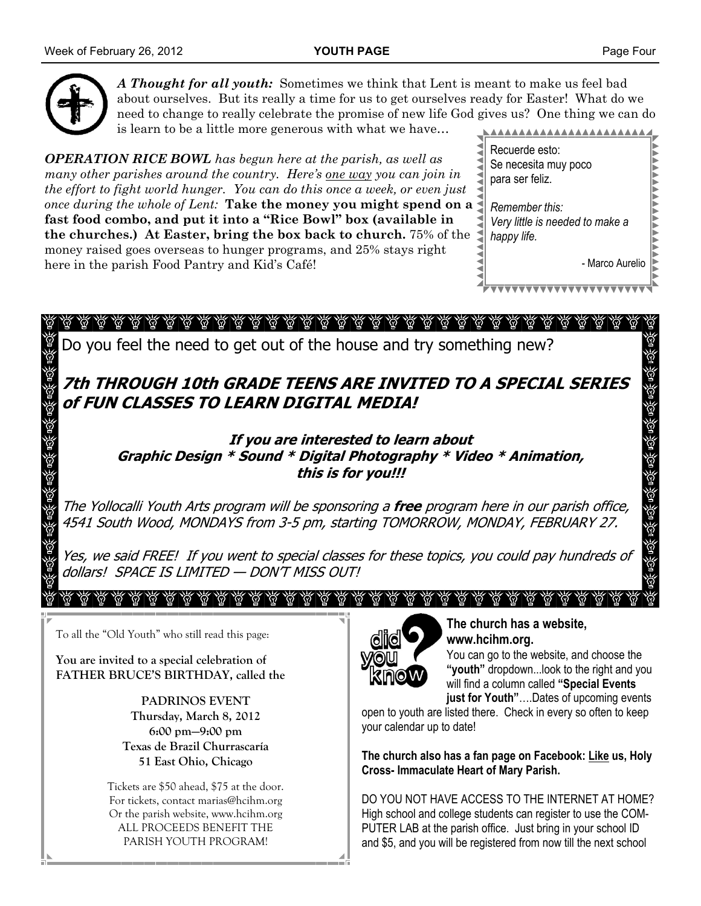![](_page_3_Picture_3.jpeg)

*A Thought for all youth:* Sometimes we think that Lent is meant to make us feel bad about ourselves. But its really a time for us to get ourselves ready for Easter! What do we need to change to really celebrate the promise of new life God gives us? One thing we can do is learn to be a little more generous with what we have…

*OPERATION RICE BOWL has begun here at the parish, as well as many other parishes around the country. Here's one way you can join in the effort to fight world hunger. You can do this once a week, or even just once during the whole of Lent:* **Take the money you might spend on a fast food combo, and put it into a "Rice Bowl" box (available in the churches.) At Easter, bring the box back to church.** 75% of the money raised goes overseas to hunger programs, and 25% stays right here in the parish Food Pantry and Kid's Café!

| Recuerde esto:                  |  |
|---------------------------------|--|
| Se necesita muy poco            |  |
| para ser feliz.                 |  |
| Remember this:                  |  |
| Very little is needed to make a |  |
| happy life.                     |  |
| - Marco Aurelio                 |  |
|                                 |  |

Ø V ିଡ଼ି

Do you feel the need to get out of the house and try something new?

**7th THROUGH 10th GRADE TEENS ARE INVITED TO A SPECIAL SERIES of FUN CLASSES TO LEARN DIGITAL MEDIA!** 

> **If you are interested to learn about Graphic Design \* Sound \* Digital Photography \* Video \* Animation, this is for you!!!**

The Yollocalli Youth Arts program will be sponsoring a **free** program here in our parish office, 4541 South Wood, MONDAYS from 3-5 pm, starting TOMORROW, MONDAY, FEBRUARY 27.

Yes, we said FREE! If you went to special classes for these topics, you could pay hundreds of dollars! SPACE IS LIMITED — DON'T MISS OUT!

To all the "Old Youth" who still read this page:

**You are invited to a special celebration of FATHER BRUCE'S BIRTHDAY, called the** 

> **PADRINOS EVENT Thursday, March 8, 2012 6:00 pm—9:00 pm Texas de Brazil Churrascaría 51 East Ohio, Chicago**

Tickets are \$50 ahead, \$75 at the door. For tickets, contact marias@hcihm.org Or the parish website, www.hcihm.org ALL PROCEEDS BENEFIT THE PARISH YOUTH PROGRAM!

![](_page_3_Picture_17.jpeg)

#### **The church has a website, www.hcihm.org.**

You can go to the website, and choose the **"youth"** dropdown...look to the right and you will find a column called **"Special Events just for Youth"**….Dates of upcoming events

open to youth are listed there. Check in every so often to keep your calendar up to date!

**The church also has a fan page on Facebook: Like us, Holy Cross- Immaculate Heart of Mary Parish.** 

DO YOU NOT HAVE ACCESS TO THE INTERNET AT HOME? High school and college students can register to use the COM-PUTER LAB at the parish office. Just bring in your school ID and \$5, and you will be registered from now till the next school